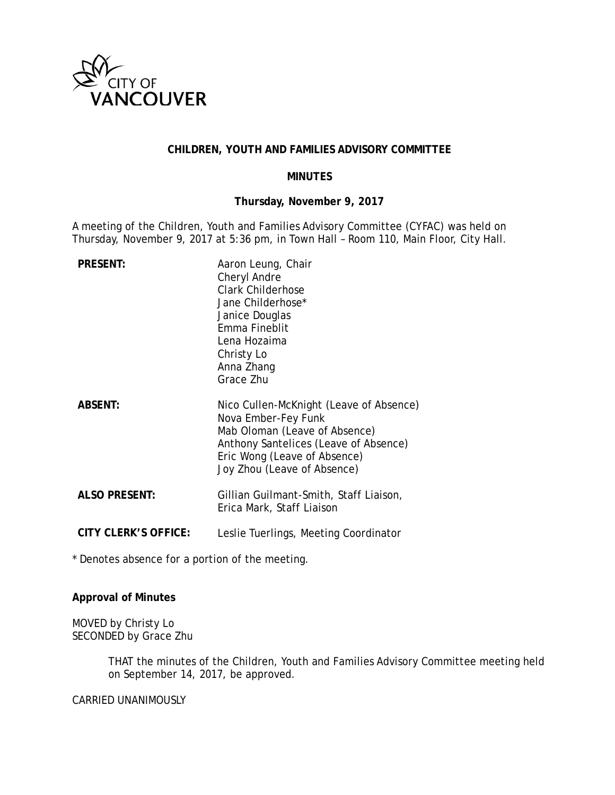

## **CHILDREN, YOUTH AND FAMILIES ADVISORY COMMITTEE**

### **MINUTES**

## **Thursday, November 9, 2017**

A meeting of the Children, Youth and Families Advisory Committee (CYFAC) was held on Thursday, November 9, 2017 at 5:36 pm, in Town Hall – Room 110, Main Floor, City Hall.

| <b>PRESENT:</b>      | Aaron Leung, Chair<br>Cheryl Andre<br><b>Clark Childerhose</b><br>Jane Childerhose*<br>Janice Douglas<br>Emma Fineblit<br>Lena Hozaima<br>Christy Lo<br>Anna Zhang<br>Grace Zhu                         |
|----------------------|---------------------------------------------------------------------------------------------------------------------------------------------------------------------------------------------------------|
| <b>ABSENT:</b>       | Nico Cullen-McKnight (Leave of Absence)<br>Nova Ember-Fey Funk<br>Mab Oloman (Leave of Absence)<br>Anthony Santelices (Leave of Absence)<br>Eric Wong (Leave of Absence)<br>Joy Zhou (Leave of Absence) |
| <b>ALSO PRESENT:</b> | Gillian Guilmant-Smith, Staff Liaison,<br>Erica Mark, Staff Liaison                                                                                                                                     |
| CITY CLERK'S OFFICE: | Leslie Tuerlings, Meeting Coordinator                                                                                                                                                                   |

\* Denotes absence for a portion of the meeting.

# **Approval of Minutes**

MOVED by Christy Lo SECONDED by Grace Zhu

> THAT the minutes of the Children, Youth and Families Advisory Committee meeting held on September 14, 2017, be approved.

CARRIED UNANIMOUSLY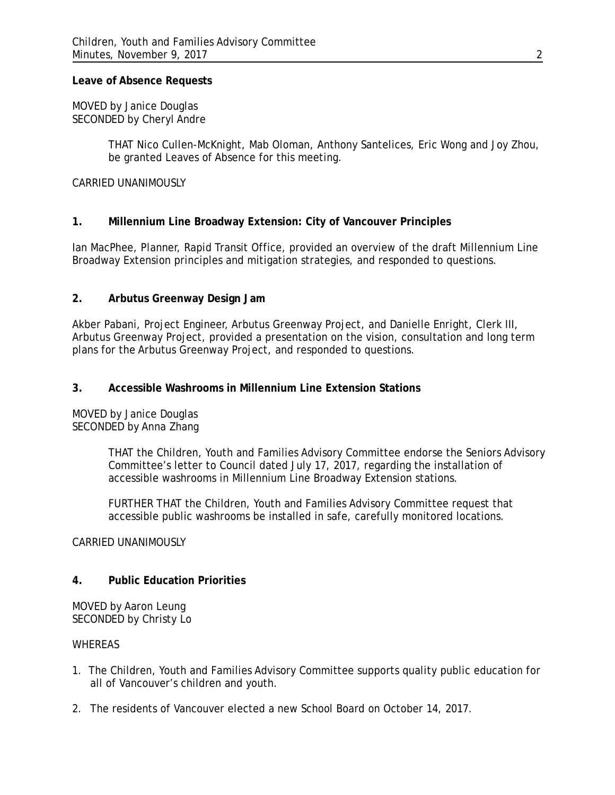### **Leave of Absence Requests**

MOVED by Janice Douglas SECONDED by Cheryl Andre

> THAT Nico Cullen-McKnight, Mab Oloman, Anthony Santelices, Eric Wong and Joy Zhou, be granted Leaves of Absence for this meeting.

### CARRIED UNANIMOUSLY

# **1. Millennium Line Broadway Extension: City of Vancouver Principles**

Ian MacPhee, Planner, Rapid Transit Office, provided an overview of the draft Millennium Line Broadway Extension principles and mitigation strategies, and responded to questions.

## **2. Arbutus Greenway Design Jam**

Akber Pabani, Project Engineer, Arbutus Greenway Project, and Danielle Enright, Clerk III, Arbutus Greenway Project, provided a presentation on the vision, consultation and long term plans for the Arbutus Greenway Project, and responded to questions.

## **3. Accessible Washrooms in Millennium Line Extension Stations**

MOVED by Janice Douglas SECONDED by Anna Zhang

> THAT the Children, Youth and Families Advisory Committee endorse the Seniors Advisory Committee's letter to Council dated July 17, 2017, regarding the installation of accessible washrooms in Millennium Line Broadway Extension stations.

FURTHER THAT the Children, Youth and Families Advisory Committee request that accessible public washrooms be installed in safe, carefully monitored locations.

### CARRIED UNANIMOUSLY

### **4. Public Education Priorities**

MOVED by Aaron Leung SECONDED by Christy Lo

#### WHEREAS

- 1. The Children, Youth and Families Advisory Committee supports quality public education for all of Vancouver's children and youth.
- 2. The residents of Vancouver elected a new School Board on October 14, 2017.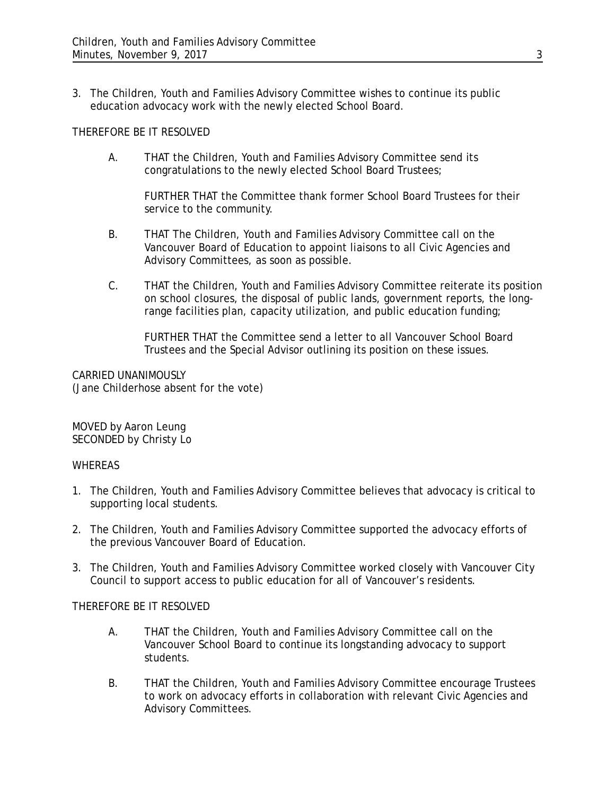3. The Children, Youth and Families Advisory Committee wishes to continue its public education advocacy work with the newly elected School Board.

## THEREFORE BE IT RESOLVED

A. THAT the Children, Youth and Families Advisory Committee send its congratulations to the newly elected School Board Trustees;

FURTHER THAT the Committee thank former School Board Trustees for their service to the community.

- B. THAT The Children, Youth and Families Advisory Committee call on the Vancouver Board of Education to appoint liaisons to all Civic Agencies and Advisory Committees, as soon as possible.
- C. THAT the Children, Youth and Families Advisory Committee reiterate its position on school closures, the disposal of public lands, government reports, the longrange facilities plan, capacity utilization, and public education funding;

FURTHER THAT the Committee send a letter to all Vancouver School Board Trustees and the Special Advisor outlining its position on these issues.

CARRIED UNANIMOUSLY (Jane Childerhose absent for the vote)

MOVED by Aaron Leung SECONDED by Christy Lo

### WHEREAS

- 1. The Children, Youth and Families Advisory Committee believes that advocacy is critical to supporting local students.
- 2. The Children, Youth and Families Advisory Committee supported the advocacy efforts of the previous Vancouver Board of Education.
- 3. The Children, Youth and Families Advisory Committee worked closely with Vancouver City Council to support access to public education for all of Vancouver's residents.

### THEREFORE BE IT RESOLVED

- A. THAT the Children, Youth and Families Advisory Committee call on the Vancouver School Board to continue its longstanding advocacy to support students.
- B. THAT the Children, Youth and Families Advisory Committee encourage Trustees to work on advocacy efforts in collaboration with relevant Civic Agencies and Advisory Committees.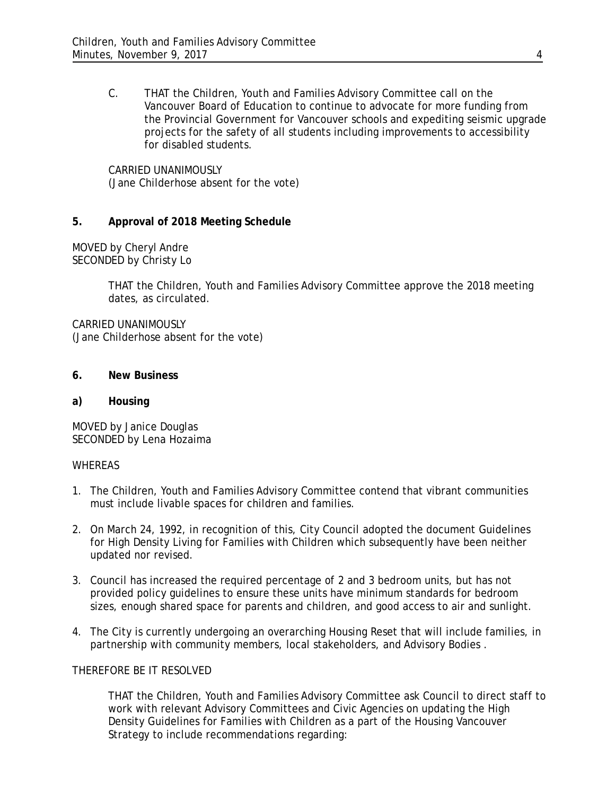C. THAT the Children, Youth and Families Advisory Committee call on the Vancouver Board of Education to continue to advocate for more funding from the Provincial Government for Vancouver schools and expediting seismic upgrade projects for the safety of all students including improvements to accessibility for disabled students.

CARRIED UNANIMOUSLY (Jane Childerhose absent for the vote)

## **5. Approval of 2018 Meeting Schedule**

MOVED by Cheryl Andre SECONDED by Christy Lo

> THAT the Children, Youth and Families Advisory Committee approve the 2018 meeting dates, as circulated.

CARRIED UNANIMOUSLY (Jane Childerhose absent for the vote)

**6. New Business**

# **a) Housing**

MOVED by Janice Douglas SECONDED by Lena Hozaima

### WHEREAS

- 1. The Children, Youth and Families Advisory Committee contend that vibrant communities must include livable spaces for children and families.
- 2. On March 24, 1992, in recognition of this, City Council adopted the document Guidelines for High Density Living for Families with Children which subsequently have been neither updated nor revised.
- 3. Council has increased the required percentage of 2 and 3 bedroom units, but has not provided policy guidelines to ensure these units have minimum standards for bedroom sizes, enough shared space for parents and children, and good access to air and sunlight.
- 4. The City is currently undergoing an overarching Housing Reset that will include families, in partnership with community members, local stakeholders, and Advisory Bodies .

# THEREFORE BE IT RESOLVED

THAT the Children, Youth and Families Advisory Committee ask Council to direct staff to work with relevant Advisory Committees and Civic Agencies on updating the High Density Guidelines for Families with Children as a part of the Housing Vancouver Strategy to include recommendations regarding: